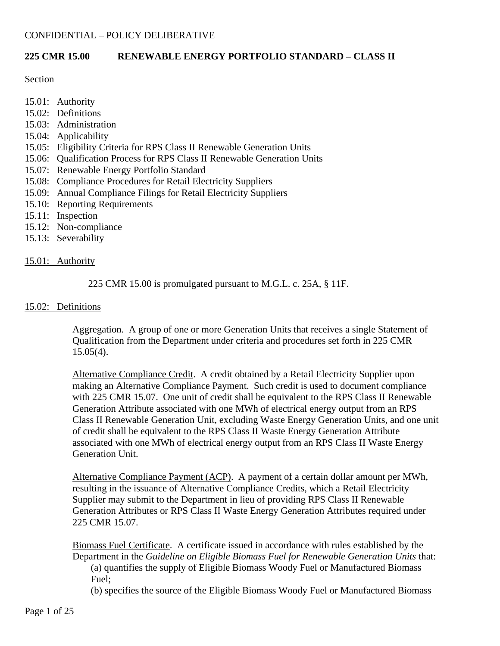### **225 CMR 15.00 RENEWABLE ENERGY PORTFOLIO STANDARD – CLASS II**

#### **Section**

- 15.01: Authority
- 15.02: Definitions
- 15.03: Administration
- 15.04: Applicability
- 15.05: Eligibility Criteria for RPS Class II Renewable Generation Units
- 15.06: Qualification Process for RPS Class II Renewable Generation Units
- 15.07: Renewable Energy Portfolio Standard
- 15.08: Compliance Procedures for Retail Electricity Suppliers
- 15.09: Annual Compliance Filings for Retail Electricity Suppliers
- 15.10: Reporting Requirements
- 15.11: Inspection
- 15.12: Non-compliance
- 15.13: Severability

#### 15.01: Authority

### 225 CMR 15.00 is promulgated pursuant to M.G.L. c. 25A, § 11F.

#### 15.02: Definitions

Aggregation. A group of one or more Generation Units that receives a single Statement of Qualification from the Department under criteria and procedures set forth in 225 CMR  $15.05(4)$ .

Alternative Compliance Credit. A credit obtained by a Retail Electricity Supplier upon making an Alternative Compliance Payment. Such credit is used to document compliance with 225 CMR 15.07. One unit of credit shall be equivalent to the RPS Class II Renewable Generation Attribute associated with one MWh of electrical energy output from an RPS Class II Renewable Generation Unit, excluding Waste Energy Generation Units, and one unit of credit shall be equivalent to the RPS Class II Waste Energy Generation Attribute associated with one MWh of electrical energy output from an RPS Class II Waste Energy Generation Unit.

Alternative Compliance Payment (ACP). A payment of a certain dollar amount per MWh, resulting in the issuance of Alternative Compliance Credits, which a Retail Electricity Supplier may submit to the Department in lieu of providing RPS Class II Renewable Generation Attributes or RPS Class II Waste Energy Generation Attributes required under 225 CMR 15.07.

Biomass Fuel Certificate. A certificate issued in accordance with rules established by the Department in the *Guideline on Eligible Biomass Fuel for Renewable Generation Units* that: (a) quantifies the supply of Eligible Biomass Woody Fuel or Manufactured Biomass Fuel;

(b) specifies the source of the Eligible Biomass Woody Fuel or Manufactured Biomass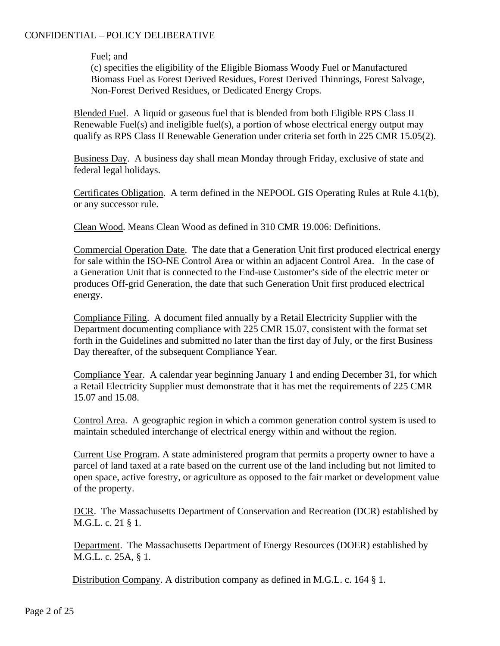Fuel; and

(c) specifies the eligibility of the Eligible Biomass Woody Fuel or Manufactured Biomass Fuel as Forest Derived Residues, Forest Derived Thinnings, Forest Salvage, Non-Forest Derived Residues, or Dedicated Energy Crops.

Blended Fuel. A liquid or gaseous fuel that is blended from both Eligible RPS Class II Renewable Fuel(s) and ineligible fuel(s), a portion of whose electrical energy output may qualify as RPS Class II Renewable Generation under criteria set forth in 225 CMR 15.05(2).

Business Day. A business day shall mean Monday through Friday, exclusive of state and federal legal holidays.

Certificates Obligation. A term defined in the NEPOOL GIS Operating Rules at Rule 4.1(b), or any successor rule.

Clean Wood. Means Clean Wood as defined in 310 CMR 19.006: Definitions.

Commercial Operation Date. The date that a Generation Unit first produced electrical energy for sale within the ISO-NE Control Area or within an adjacent Control Area. In the case of a Generation Unit that is connected to the End-use Customer's side of the electric meter or produces Off-grid Generation, the date that such Generation Unit first produced electrical energy.

Compliance Filing. A document filed annually by a Retail Electricity Supplier with the Department documenting compliance with 225 CMR 15.07, consistent with the format set forth in the Guidelines and submitted no later than the first day of July, or the first Business Day thereafter, of the subsequent Compliance Year.

Compliance Year. A calendar year beginning January 1 and ending December 31, for which a Retail Electricity Supplier must demonstrate that it has met the requirements of 225 CMR 15.07 and 15.08.

Control Area. A geographic region in which a common generation control system is used to maintain scheduled interchange of electrical energy within and without the region.

Current Use Program. A state administered program that permits a property owner to have a parcel of land taxed at a rate based on the current use of the land including but not limited to open space, active forestry, or agriculture as opposed to the fair market or development value of the property.

DCR. The Massachusetts Department of Conservation and Recreation (DCR) established by M.G.L. c. 21 § 1.

Department. The Massachusetts Department of Energy Resources (DOER) established by M.G.L. c. 25A, § 1.

Distribution Company. A distribution company as defined in M.G.L. c. 164 § 1.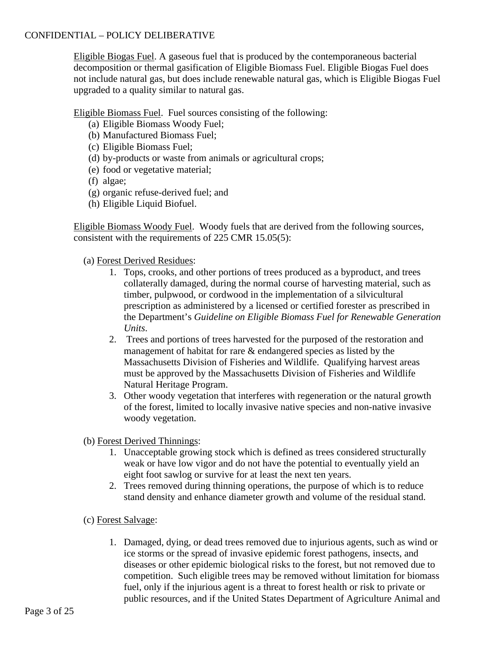Eligible Biogas Fuel. A gaseous fuel that is produced by the contemporaneous bacterial decomposition or thermal gasification of Eligible Biomass Fuel. Eligible Biogas Fuel does not include natural gas, but does include renewable natural gas, which is Eligible Biogas Fuel upgraded to a quality similar to natural gas.

Eligible Biomass Fuel. Fuel sources consisting of the following:

- (a) Eligible Biomass Woody Fuel;
- (b) Manufactured Biomass Fuel;
- (c) Eligible Biomass Fuel;
- (d) by-products or waste from animals or agricultural crops;
- (e) food or vegetative material;
- (f) algae;
- (g) organic refuse-derived fuel; and
- (h) Eligible Liquid Biofuel.

Eligible Biomass Woody Fuel. Woody fuels that are derived from the following sources, consistent with the requirements of 225 CMR 15.05(5):

# (a) Forest Derived Residues:

- 1. Tops, crooks, and other portions of trees produced as a byproduct, and trees collaterally damaged, during the normal course of harvesting material, such as timber, pulpwood, or cordwood in the implementation of a silvicultural prescription as administered by a licensed or certified forester as prescribed in the Department's *Guideline on Eligible Biomass Fuel for Renewable Generation Units*.
- 2. Trees and portions of trees harvested for the purposed of the restoration and management of habitat for rare & endangered species as listed by the Massachusetts Division of Fisheries and Wildlife. Qualifying harvest areas must be approved by the Massachusetts Division of Fisheries and Wildlife Natural Heritage Program.
- 3. Other woody vegetation that interferes with regeneration or the natural growth of the forest, limited to locally invasive native species and non-native invasive woody vegetation.
- (b) Forest Derived Thinnings:
	- 1. Unacceptable growing stock which is defined as trees considered structurally weak or have low vigor and do not have the potential to eventually yield an eight foot sawlog or survive for at least the next ten years.
	- 2. Trees removed during thinning operations, the purpose of which is to reduce stand density and enhance diameter growth and volume of the residual stand.
- (c) Forest Salvage:
	- 1. Damaged, dying, or dead trees removed due to injurious agents, such as wind or ice storms or the spread of invasive epidemic forest pathogens, insects, and diseases or other epidemic biological risks to the forest, but not removed due to competition. Such eligible trees may be removed without limitation for biomass fuel, only if the injurious agent is a threat to forest health or risk to private or public resources, and if the United States Department of Agriculture Animal and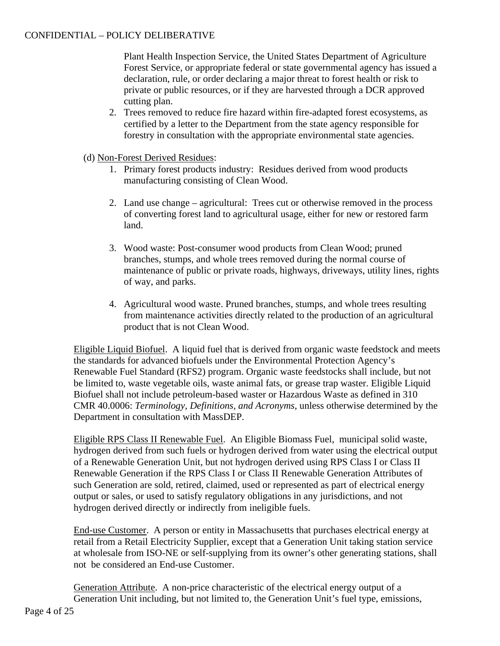Plant Health Inspection Service, the United States Department of Agriculture Forest Service, or appropriate federal or state governmental agency has issued a declaration, rule, or order declaring a major threat to forest health or risk to private or public resources, or if they are harvested through a DCR approved cutting plan.

- 2. Trees removed to reduce fire hazard within fire-adapted forest ecosystems, as certified by a letter to the Department from the state agency responsible for forestry in consultation with the appropriate environmental state agencies.
- (d) Non-Forest Derived Residues:
	- 1. Primary forest products industry: Residues derived from wood products manufacturing consisting of Clean Wood.
	- 2. Land use change agricultural: Trees cut or otherwise removed in the process of converting forest land to agricultural usage, either for new or restored farm land.
	- 3. Wood waste: Post-consumer wood products from Clean Wood; pruned branches, stumps, and whole trees removed during the normal course of maintenance of public or private roads, highways, driveways, utility lines, rights of way, and parks.
	- 4. Agricultural wood waste. Pruned branches, stumps, and whole trees resulting from maintenance activities directly related to the production of an agricultural product that is not Clean Wood.

Eligible Liquid Biofuel. A liquid fuel that is derived from organic waste feedstock and meets the standards for advanced biofuels under the Environmental Protection Agency's Renewable Fuel Standard (RFS2) program. Organic waste feedstocks shall include, but not be limited to, waste vegetable oils, waste animal fats, or grease trap waster. Eligible Liquid Biofuel shall not include petroleum-based waster or Hazardous Waste as defined in 310 CMR 40.0006: *Terminology, Definitions, and Acronyms*, unless otherwise determined by the Department in consultation with MassDEP.

Eligible RPS Class II Renewable Fuel. An Eligible Biomass Fuel, municipal solid waste, hydrogen derived from such fuels or hydrogen derived from water using the electrical output of a Renewable Generation Unit, but not hydrogen derived using RPS Class I or Class II Renewable Generation if the RPS Class I or Class II Renewable Generation Attributes of such Generation are sold, retired, claimed, used or represented as part of electrical energy output or sales, or used to satisfy regulatory obligations in any jurisdictions, and not hydrogen derived directly or indirectly from ineligible fuels.

End-use Customer. A person or entity in Massachusetts that purchases electrical energy at retail from a Retail Electricity Supplier, except that a Generation Unit taking station service at wholesale from ISO-NE or self-supplying from its owner's other generating stations, shall not be considered an End-use Customer.

Generation Attribute. A non-price characteristic of the electrical energy output of a Generation Unit including, but not limited to, the Generation Unit's fuel type, emissions,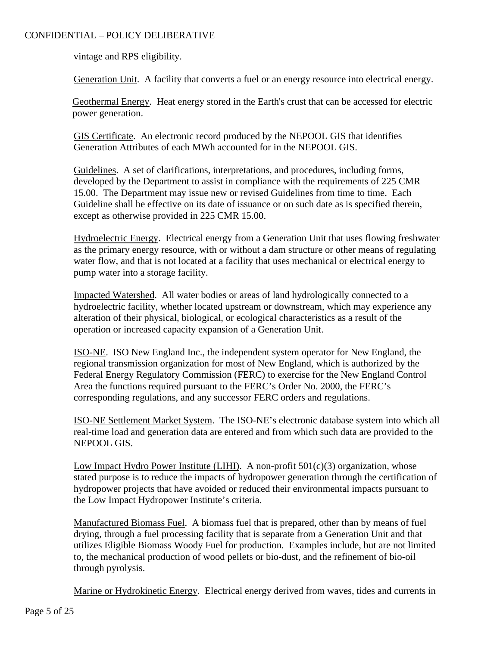vintage and RPS eligibility.

Generation Unit. A facility that converts a fuel or an energy resource into electrical energy.

Geothermal Energy. Heat energy stored in the Earth's crust that can be accessed for electric power generation.

GIS Certificate. An electronic record produced by the NEPOOL GIS that identifies Generation Attributes of each MWh accounted for in the NEPOOL GIS.

Guidelines. A set of clarifications, interpretations, and procedures, including forms, developed by the Department to assist in compliance with the requirements of 225 CMR 15.00. The Department may issue new or revised Guidelines from time to time. Each Guideline shall be effective on its date of issuance or on such date as is specified therein, except as otherwise provided in 225 CMR 15.00.

Hydroelectric Energy. Electrical energy from a Generation Unit that uses flowing freshwater as the primary energy resource, with or without a dam structure or other means of regulating water flow, and that is not located at a facility that uses mechanical or electrical energy to pump water into a storage facility.

Impacted Watershed. All water bodies or areas of land hydrologically connected to a hydroelectric facility, whether located upstream or downstream, which may experience any alteration of their physical, biological, or ecological characteristics as a result of the operation or increased capacity expansion of a Generation Unit.

ISO-NE. ISO New England Inc., the independent system operator for New England, the regional transmission organization for most of New England, which is authorized by the Federal Energy Regulatory Commission (FERC) to exercise for the New England Control Area the functions required pursuant to the FERC's Order No. 2000, the FERC's corresponding regulations, and any successor FERC orders and regulations.

ISO-NE Settlement Market System. The ISO-NE's electronic database system into which all real-time load and generation data are entered and from which such data are provided to the NEPOOL GIS.

Low Impact Hydro Power Institute (LIHI). A non-profit  $501(c)(3)$  organization, whose stated purpose is to reduce the impacts of hydropower generation through the certification of hydropower projects that have avoided or reduced their environmental impacts pursuant to the Low Impact Hydropower Institute's criteria.

Manufactured Biomass Fuel. A biomass fuel that is prepared, other than by means of fuel drying, through a fuel processing facility that is separate from a Generation Unit and that utilizes Eligible Biomass Woody Fuel for production. Examples include, but are not limited to, the mechanical production of wood pellets or bio-dust, and the refinement of bio-oil through pyrolysis.

Marine or Hydrokinetic Energy. Electrical energy derived from waves, tides and currents in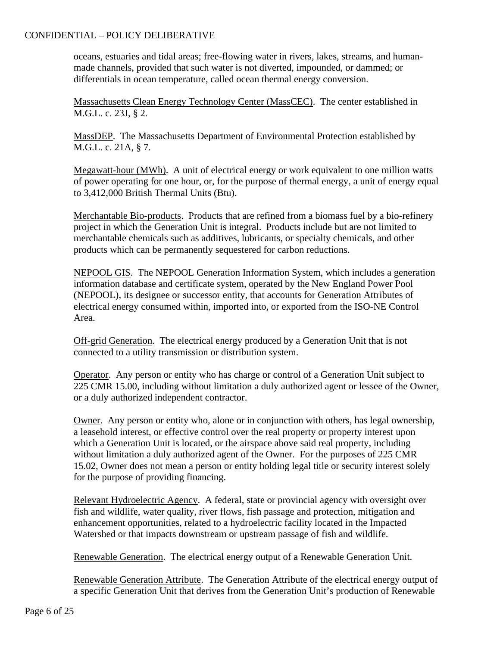oceans, estuaries and tidal areas; free-flowing water in rivers, lakes, streams, and humanmade channels, provided that such water is not diverted, impounded, or dammed; or differentials in ocean temperature, called ocean thermal energy conversion.

Massachusetts Clean Energy Technology Center (MassCEC). The center established in M.G.L. c. 23J, § 2.

MassDEP. The Massachusetts Department of Environmental Protection established by M.G.L. c. 21A, § 7.

Megawatt-hour (MWh). A unit of electrical energy or work equivalent to one million watts of power operating for one hour, or, for the purpose of thermal energy, a unit of energy equal to 3,412,000 British Thermal Units (Btu).

Merchantable Bio-products. Products that are refined from a biomass fuel by a bio-refinery project in which the Generation Unit is integral. Products include but are not limited to merchantable chemicals such as additives, lubricants, or specialty chemicals, and other products which can be permanently sequestered for carbon reductions.

NEPOOL GIS. The NEPOOL Generation Information System, which includes a generation information database and certificate system, operated by the New England Power Pool (NEPOOL), its designee or successor entity, that accounts for Generation Attributes of electrical energy consumed within, imported into, or exported from the ISO-NE Control Area.

Off-grid Generation. The electrical energy produced by a Generation Unit that is not connected to a utility transmission or distribution system.

Operator. Any person or entity who has charge or control of a Generation Unit subject to 225 CMR 15.00, including without limitation a duly authorized agent or lessee of the Owner, or a duly authorized independent contractor.

Owner. Any person or entity who, alone or in conjunction with others, has legal ownership, a leasehold interest, or effective control over the real property or property interest upon which a Generation Unit is located, or the airspace above said real property, including without limitation a duly authorized agent of the Owner. For the purposes of 225 CMR 15.02, Owner does not mean a person or entity holding legal title or security interest solely for the purpose of providing financing.

Relevant Hydroelectric Agency. A federal, state or provincial agency with oversight over fish and wildlife, water quality, river flows, fish passage and protection, mitigation and enhancement opportunities, related to a hydroelectric facility located in the Impacted Watershed or that impacts downstream or upstream passage of fish and wildlife.

Renewable Generation. The electrical energy output of a Renewable Generation Unit.

Renewable Generation Attribute. The Generation Attribute of the electrical energy output of a specific Generation Unit that derives from the Generation Unit's production of Renewable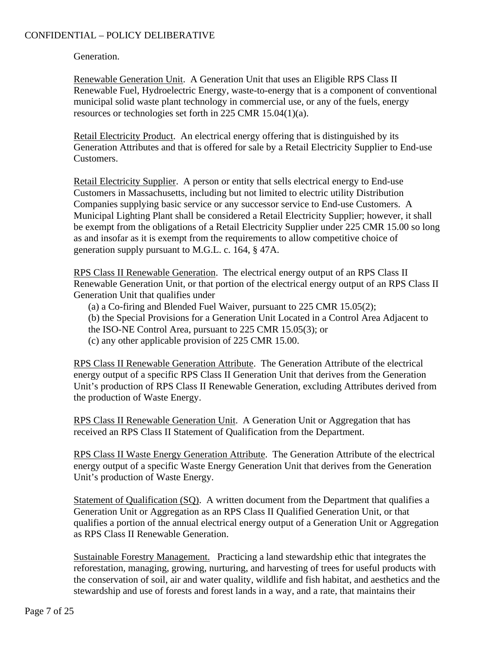Generation.

Renewable Generation Unit. A Generation Unit that uses an Eligible RPS Class II Renewable Fuel, Hydroelectric Energy, waste-to-energy that is a component of conventional municipal solid waste plant technology in commercial use, or any of the fuels, energy resources or technologies set forth in 225 CMR 15.04(1)(a).

Retail Electricity Product. An electrical energy offering that is distinguished by its Generation Attributes and that is offered for sale by a Retail Electricity Supplier to End-use Customers.

Retail Electricity Supplier. A person or entity that sells electrical energy to End-use Customers in Massachusetts, including but not limited to electric utility Distribution Companies supplying basic service or any successor service to End-use Customers. A Municipal Lighting Plant shall be considered a Retail Electricity Supplier; however, it shall be exempt from the obligations of a Retail Electricity Supplier under 225 CMR 15.00 so long as and insofar as it is exempt from the requirements to allow competitive choice of generation supply pursuant to M.G.L. c. 164, § 47A.

RPS Class II Renewable Generation. The electrical energy output of an RPS Class II Renewable Generation Unit, or that portion of the electrical energy output of an RPS Class II Generation Unit that qualifies under

- (a) a Co-firing and Blended Fuel Waiver, pursuant to 225 CMR 15.05(2);
- (b) the Special Provisions for a Generation Unit Located in a Control Area Adjacent to
- the ISO-NE Control Area, pursuant to 225 CMR 15.05(3); or
- (c) any other applicable provision of 225 CMR 15.00.

RPS Class II Renewable Generation Attribute. The Generation Attribute of the electrical energy output of a specific RPS Class II Generation Unit that derives from the Generation Unit's production of RPS Class II Renewable Generation, excluding Attributes derived from the production of Waste Energy.

RPS Class II Renewable Generation Unit. A Generation Unit or Aggregation that has received an RPS Class II Statement of Qualification from the Department.

RPS Class II Waste Energy Generation Attribute. The Generation Attribute of the electrical energy output of a specific Waste Energy Generation Unit that derives from the Generation Unit's production of Waste Energy.

Statement of Qualification (SQ). A written document from the Department that qualifies a Generation Unit or Aggregation as an RPS Class II Qualified Generation Unit, or that qualifies a portion of the annual electrical energy output of a Generation Unit or Aggregation as RPS Class II Renewable Generation.

Sustainable Forestry Management. Practicing a land stewardship ethic that integrates the reforestation, managing, growing, nurturing, and harvesting of trees for useful products with the conservation of soil, air and water quality, wildlife and fish habitat, and aesthetics and the stewardship and use of forests and forest lands in a way, and a rate, that maintains their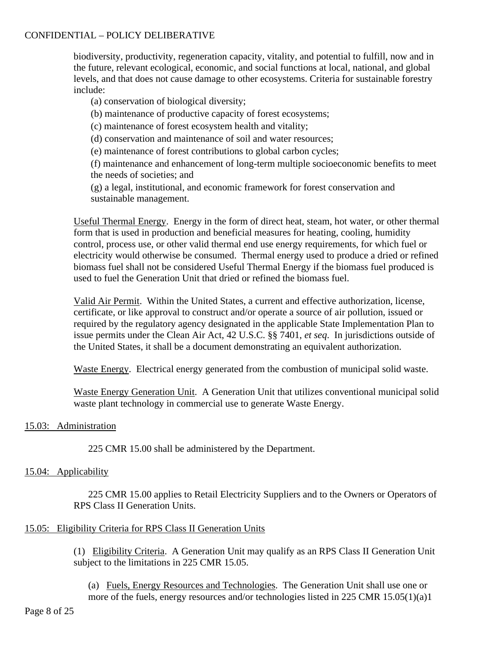biodiversity, productivity, regeneration capacity, vitality, and potential to fulfill, now and in the future, relevant ecological, economic, and social functions at local, national, and global levels, and that does not cause damage to other ecosystems. Criteria for sustainable forestry include:

- (a) conservation of biological diversity;
- (b) maintenance of productive capacity of forest ecosystems;
- (c) maintenance of forest ecosystem health and vitality;
- (d) conservation and maintenance of soil and water resources;
- (e) maintenance of forest contributions to global carbon cycles;

(f) maintenance and enhancement of long-term multiple socioeconomic benefits to meet the needs of societies; and

(g) a legal, institutional, and economic framework for forest conservation and sustainable management.

Useful Thermal Energy. Energy in the form of direct heat, steam, hot water, or other thermal form that is used in production and beneficial measures for heating, cooling, humidity control, process use, or other valid thermal end use energy requirements, for which fuel or electricity would otherwise be consumed. Thermal energy used to produce a dried or refined biomass fuel shall not be considered Useful Thermal Energy if the biomass fuel produced is used to fuel the Generation Unit that dried or refined the biomass fuel.

Valid Air Permit. Within the United States, a current and effective authorization, license, certificate, or like approval to construct and/or operate a source of air pollution, issued or required by the regulatory agency designated in the applicable State Implementation Plan to issue permits under the Clean Air Act, 42 U.S.C. §§ 7401, *et seq*. In jurisdictions outside of the United States, it shall be a document demonstrating an equivalent authorization.

Waste Energy. Electrical energy generated from the combustion of municipal solid waste.

Waste Energy Generation Unit. A Generation Unit that utilizes conventional municipal solid waste plant technology in commercial use to generate Waste Energy.

#### 15.03: Administration

225 CMR 15.00 shall be administered by the Department.

#### 15.04: Applicability

225 CMR 15.00 applies to Retail Electricity Suppliers and to the Owners or Operators of RPS Class II Generation Units.

### 15.05: Eligibility Criteria for RPS Class II Generation Units

(1) Eligibility Criteria. A Generation Unit may qualify as an RPS Class II Generation Unit subject to the limitations in 225 CMR 15.05.

(a) Fuels, Energy Resources and Technologies. The Generation Unit shall use one or more of the fuels, energy resources and/or technologies listed in 225 CMR 15.05(1)(a)1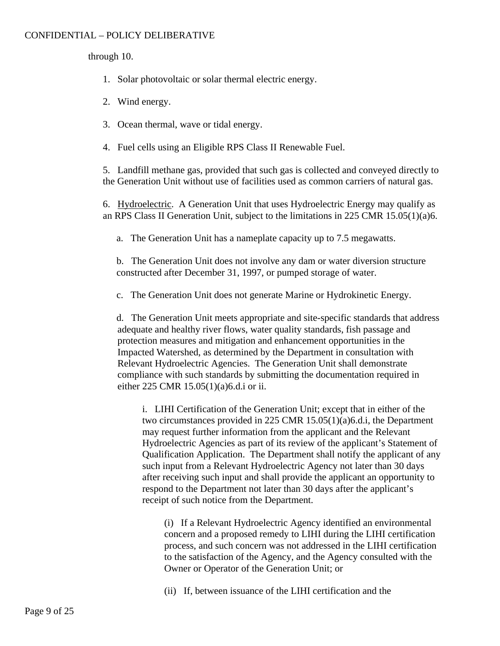through 10.

- 1. Solar photovoltaic or solar thermal electric energy.
- 2. Wind energy.
- 3. Ocean thermal, wave or tidal energy.
- 4. Fuel cells using an Eligible RPS Class II Renewable Fuel.

5. Landfill methane gas, provided that such gas is collected and conveyed directly to the Generation Unit without use of facilities used as common carriers of natural gas.

6. Hydroelectric. A Generation Unit that uses Hydroelectric Energy may qualify as an RPS Class II Generation Unit, subject to the limitations in 225 CMR 15.05(1)(a)6.

a. The Generation Unit has a nameplate capacity up to 7.5 megawatts.

b. The Generation Unit does not involve any dam or water diversion structure constructed after December 31, 1997, or pumped storage of water.

c. The Generation Unit does not generate Marine or Hydrokinetic Energy.

d. The Generation Unit meets appropriate and site-specific standards that address adequate and healthy river flows, water quality standards, fish passage and protection measures and mitigation and enhancement opportunities in the Impacted Watershed, as determined by the Department in consultation with Relevant Hydroelectric Agencies. The Generation Unit shall demonstrate compliance with such standards by submitting the documentation required in either 225 CMR 15.05(1)(a)6.d.i or ii.

i. LIHI Certification of the Generation Unit; except that in either of the two circumstances provided in 225 CMR 15.05(1)(a)6.d.i, the Department may request further information from the applicant and the Relevant Hydroelectric Agencies as part of its review of the applicant's Statement of Qualification Application. The Department shall notify the applicant of any such input from a Relevant Hydroelectric Agency not later than 30 days after receiving such input and shall provide the applicant an opportunity to respond to the Department not later than 30 days after the applicant's receipt of such notice from the Department.

(i) If a Relevant Hydroelectric Agency identified an environmental concern and a proposed remedy to LIHI during the LIHI certification process, and such concern was not addressed in the LIHI certification to the satisfaction of the Agency, and the Agency consulted with the Owner or Operator of the Generation Unit; or

(ii) If, between issuance of the LIHI certification and the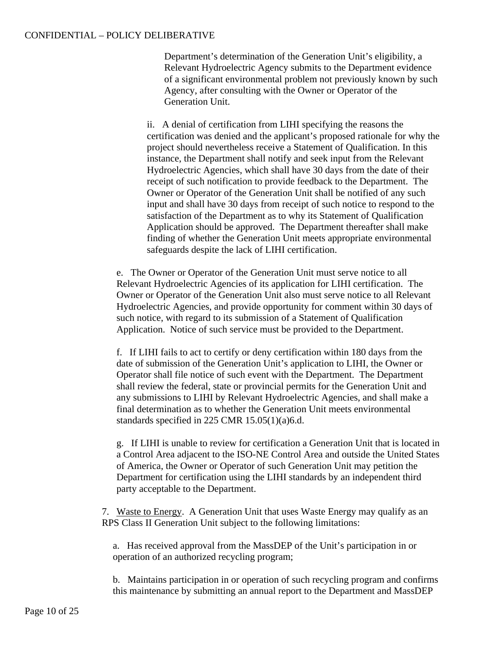Department's determination of the Generation Unit's eligibility, a Relevant Hydroelectric Agency submits to the Department evidence of a significant environmental problem not previously known by such Agency, after consulting with the Owner or Operator of the Generation Unit.

ii. A denial of certification from LIHI specifying the reasons the certification was denied and the applicant's proposed rationale for why the project should nevertheless receive a Statement of Qualification. In this instance, the Department shall notify and seek input from the Relevant Hydroelectric Agencies, which shall have 30 days from the date of their receipt of such notification to provide feedback to the Department. The Owner or Operator of the Generation Unit shall be notified of any such input and shall have 30 days from receipt of such notice to respond to the satisfaction of the Department as to why its Statement of Qualification Application should be approved. The Department thereafter shall make finding of whether the Generation Unit meets appropriate environmental safeguards despite the lack of LIHI certification.

e. The Owner or Operator of the Generation Unit must serve notice to all Relevant Hydroelectric Agencies of its application for LIHI certification. The Owner or Operator of the Generation Unit also must serve notice to all Relevant Hydroelectric Agencies, and provide opportunity for comment within 30 days of such notice, with regard to its submission of a Statement of Qualification Application. Notice of such service must be provided to the Department.

f. If LIHI fails to act to certify or deny certification within 180 days from the date of submission of the Generation Unit's application to LIHI, the Owner or Operator shall file notice of such event with the Department. The Department shall review the federal, state or provincial permits for the Generation Unit and any submissions to LIHI by Relevant Hydroelectric Agencies, and shall make a final determination as to whether the Generation Unit meets environmental standards specified in 225 CMR 15.05(1)(a)6.d.

g. If LIHI is unable to review for certification a Generation Unit that is located in a Control Area adjacent to the ISO-NE Control Area and outside the United States of America, the Owner or Operator of such Generation Unit may petition the Department for certification using the LIHI standards by an independent third party acceptable to the Department.

7. Waste to Energy. A Generation Unit that uses Waste Energy may qualify as an RPS Class II Generation Unit subject to the following limitations:

a. Has received approval from the MassDEP of the Unit's participation in or operation of an authorized recycling program;

b. Maintains participation in or operation of such recycling program and confirms this maintenance by submitting an annual report to the Department and MassDEP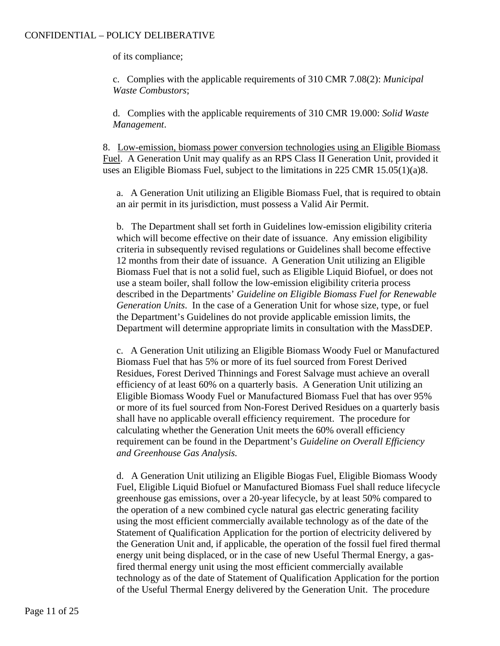of its compliance;

c. Complies with the applicable requirements of 310 CMR 7.08(2): *Municipal Waste Combustors*;

d. Complies with the applicable requirements of 310 CMR 19.000: *Solid Waste Management*.

8. Low-emission, biomass power conversion technologies using an Eligible Biomass Fuel. A Generation Unit may qualify as an RPS Class II Generation Unit, provided it uses an Eligible Biomass Fuel, subject to the limitations in 225 CMR 15.05(1)(a)8.

a. A Generation Unit utilizing an Eligible Biomass Fuel, that is required to obtain an air permit in its jurisdiction, must possess a Valid Air Permit.

b. The Department shall set forth in Guidelines low-emission eligibility criteria which will become effective on their date of issuance. Any emission eligibility criteria in subsequently revised regulations or Guidelines shall become effective 12 months from their date of issuance. A Generation Unit utilizing an Eligible Biomass Fuel that is not a solid fuel, such as Eligible Liquid Biofuel, or does not use a steam boiler, shall follow the low-emission eligibility criteria process described in the Departments' *Guideline on Eligible Biomass Fuel for Renewable Generation Units*. In the case of a Generation Unit for whose size, type, or fuel the Department's Guidelines do not provide applicable emission limits, the Department will determine appropriate limits in consultation with the MassDEP.

c. A Generation Unit utilizing an Eligible Biomass Woody Fuel or Manufactured Biomass Fuel that has 5% or more of its fuel sourced from Forest Derived Residues, Forest Derived Thinnings and Forest Salvage must achieve an overall efficiency of at least 60% on a quarterly basis. A Generation Unit utilizing an Eligible Biomass Woody Fuel or Manufactured Biomass Fuel that has over 95% or more of its fuel sourced from Non-Forest Derived Residues on a quarterly basis shall have no applicable overall efficiency requirement. The procedure for calculating whether the Generation Unit meets the 60% overall efficiency requirement can be found in the Department's *Guideline on Overall Efficiency and Greenhouse Gas Analysis.*

d. A Generation Unit utilizing an Eligible Biogas Fuel, Eligible Biomass Woody Fuel, Eligible Liquid Biofuel or Manufactured Biomass Fuel shall reduce lifecycle greenhouse gas emissions, over a 20-year lifecycle, by at least 50% compared to the operation of a new combined cycle natural gas electric generating facility using the most efficient commercially available technology as of the date of the Statement of Qualification Application for the portion of electricity delivered by the Generation Unit and, if applicable, the operation of the fossil fuel fired thermal energy unit being displaced, or in the case of new Useful Thermal Energy, a gasfired thermal energy unit using the most efficient commercially available technology as of the date of Statement of Qualification Application for the portion of the Useful Thermal Energy delivered by the Generation Unit. The procedure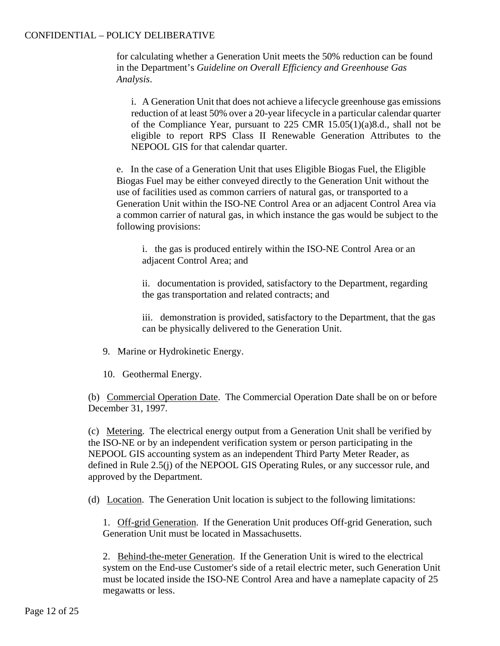for calculating whether a Generation Unit meets the 50% reduction can be found in the Department's *Guideline on Overall Efficiency and Greenhouse Gas Analysis*.

i. A Generation Unit that does not achieve a lifecycle greenhouse gas emissions reduction of at least 50% over a 20-year lifecycle in a particular calendar quarter of the Compliance Year, pursuant to 225 CMR 15.05(1)(a)8.d., shall not be eligible to report RPS Class II Renewable Generation Attributes to the NEPOOL GIS for that calendar quarter.

e. In the case of a Generation Unit that uses Eligible Biogas Fuel, the Eligible Biogas Fuel may be either conveyed directly to the Generation Unit without the use of facilities used as common carriers of natural gas, or transported to a Generation Unit within the ISO-NE Control Area or an adjacent Control Area via a common carrier of natural gas, in which instance the gas would be subject to the following provisions:

i. the gas is produced entirely within the ISO-NE Control Area or an adjacent Control Area; and

ii. documentation is provided, satisfactory to the Department, regarding the gas transportation and related contracts; and

iii. demonstration is provided, satisfactory to the Department, that the gas can be physically delivered to the Generation Unit.

- 9. Marine or Hydrokinetic Energy.
- 10. Geothermal Energy.

(b) Commercial Operation Date. The Commercial Operation Date shall be on or before December 31, 1997.

(c) Metering. The electrical energy output from a Generation Unit shall be verified by the ISO-NE or by an independent verification system or person participating in the NEPOOL GIS accounting system as an independent Third Party Meter Reader, as defined in Rule 2.5(j) of the NEPOOL GIS Operating Rules, or any successor rule, and approved by the Department.

(d) Location. The Generation Unit location is subject to the following limitations:

1. Off-grid Generation. If the Generation Unit produces Off-grid Generation, such Generation Unit must be located in Massachusetts.

2. Behind-the-meter Generation. If the Generation Unit is wired to the electrical system on the End-use Customer's side of a retail electric meter, such Generation Unit must be located inside the ISO-NE Control Area and have a nameplate capacity of 25 megawatts or less.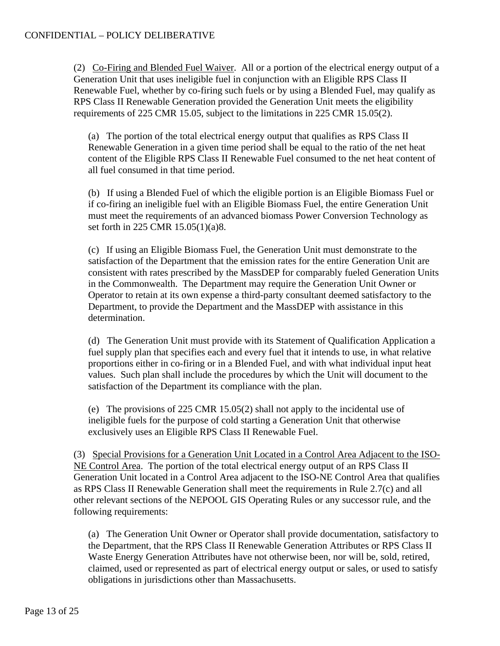(2) Co-Firing and Blended Fuel Waiver. All or a portion of the electrical energy output of a Generation Unit that uses ineligible fuel in conjunction with an Eligible RPS Class II Renewable Fuel, whether by co-firing such fuels or by using a Blended Fuel, may qualify as RPS Class II Renewable Generation provided the Generation Unit meets the eligibility requirements of 225 CMR 15.05, subject to the limitations in 225 CMR 15.05(2).

(a) The portion of the total electrical energy output that qualifies as RPS Class II Renewable Generation in a given time period shall be equal to the ratio of the net heat content of the Eligible RPS Class II Renewable Fuel consumed to the net heat content of all fuel consumed in that time period.

(b) If using a Blended Fuel of which the eligible portion is an Eligible Biomass Fuel or if co-firing an ineligible fuel with an Eligible Biomass Fuel, the entire Generation Unit must meet the requirements of an advanced biomass Power Conversion Technology as set forth in 225 CMR 15.05(1)(a)8.

(c) If using an Eligible Biomass Fuel, the Generation Unit must demonstrate to the satisfaction of the Department that the emission rates for the entire Generation Unit are consistent with rates prescribed by the MassDEP for comparably fueled Generation Units in the Commonwealth. The Department may require the Generation Unit Owner or Operator to retain at its own expense a third-party consultant deemed satisfactory to the Department, to provide the Department and the MassDEP with assistance in this determination.

(d) The Generation Unit must provide with its Statement of Qualification Application a fuel supply plan that specifies each and every fuel that it intends to use, in what relative proportions either in co-firing or in a Blended Fuel, and with what individual input heat values. Such plan shall include the procedures by which the Unit will document to the satisfaction of the Department its compliance with the plan.

(e) The provisions of 225 CMR 15.05(2) shall not apply to the incidental use of ineligible fuels for the purpose of cold starting a Generation Unit that otherwise exclusively uses an Eligible RPS Class II Renewable Fuel.

(3) Special Provisions for a Generation Unit Located in a Control Area Adjacent to the ISO-NE Control Area. The portion of the total electrical energy output of an RPS Class II Generation Unit located in a Control Area adjacent to the ISO-NE Control Area that qualifies as RPS Class II Renewable Generation shall meet the requirements in Rule 2.7(c) and all other relevant sections of the NEPOOL GIS Operating Rules or any successor rule, and the following requirements:

(a) The Generation Unit Owner or Operator shall provide documentation, satisfactory to the Department, that the RPS Class II Renewable Generation Attributes or RPS Class II Waste Energy Generation Attributes have not otherwise been, nor will be, sold, retired, claimed, used or represented as part of electrical energy output or sales, or used to satisfy obligations in jurisdictions other than Massachusetts.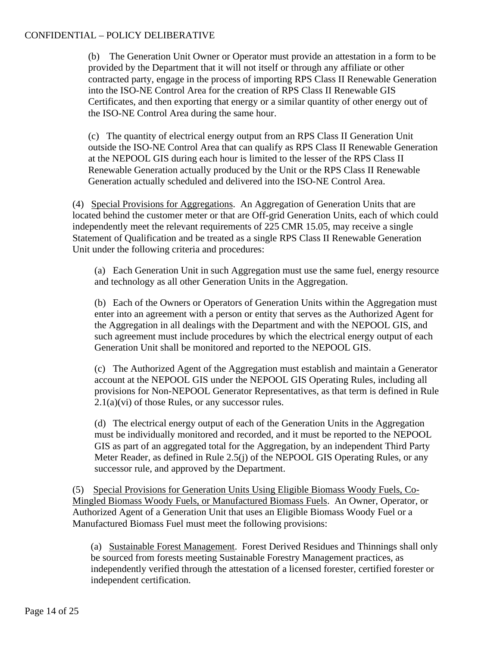(b) The Generation Unit Owner or Operator must provide an attestation in a form to be provided by the Department that it will not itself or through any affiliate or other contracted party, engage in the process of importing RPS Class II Renewable Generation into the ISO-NE Control Area for the creation of RPS Class II Renewable GIS Certificates, and then exporting that energy or a similar quantity of other energy out of the ISO-NE Control Area during the same hour.

(c) The quantity of electrical energy output from an RPS Class II Generation Unit outside the ISO-NE Control Area that can qualify as RPS Class II Renewable Generation at the NEPOOL GIS during each hour is limited to the lesser of the RPS Class II Renewable Generation actually produced by the Unit or the RPS Class II Renewable Generation actually scheduled and delivered into the ISO-NE Control Area.

(4) Special Provisions for Aggregations. An Aggregation of Generation Units that are located behind the customer meter or that are Off-grid Generation Units, each of which could independently meet the relevant requirements of 225 CMR 15.05, may receive a single Statement of Qualification and be treated as a single RPS Class II Renewable Generation Unit under the following criteria and procedures:

(a) Each Generation Unit in such Aggregation must use the same fuel, energy resource and technology as all other Generation Units in the Aggregation.

(b) Each of the Owners or Operators of Generation Units within the Aggregation must enter into an agreement with a person or entity that serves as the Authorized Agent for the Aggregation in all dealings with the Department and with the NEPOOL GIS, and such agreement must include procedures by which the electrical energy output of each Generation Unit shall be monitored and reported to the NEPOOL GIS.

(c) The Authorized Agent of the Aggregation must establish and maintain a Generator account at the NEPOOL GIS under the NEPOOL GIS Operating Rules, including all provisions for Non-NEPOOL Generator Representatives, as that term is defined in Rule  $2.1(a)(vi)$  of those Rules, or any successor rules.

(d) The electrical energy output of each of the Generation Units in the Aggregation must be individually monitored and recorded, and it must be reported to the NEPOOL GIS as part of an aggregated total for the Aggregation, by an independent Third Party Meter Reader, as defined in Rule 2.5(j) of the NEPOOL GIS Operating Rules, or any successor rule, and approved by the Department.

(5) Special Provisions for Generation Units Using Eligible Biomass Woody Fuels, Co-Mingled Biomass Woody Fuels, or Manufactured Biomass Fuels. An Owner, Operator, or Authorized Agent of a Generation Unit that uses an Eligible Biomass Woody Fuel or a Manufactured Biomass Fuel must meet the following provisions:

(a) Sustainable Forest Management. Forest Derived Residues and Thinnings shall only be sourced from forests meeting Sustainable Forestry Management practices, as independently verified through the attestation of a licensed forester, certified forester or independent certification.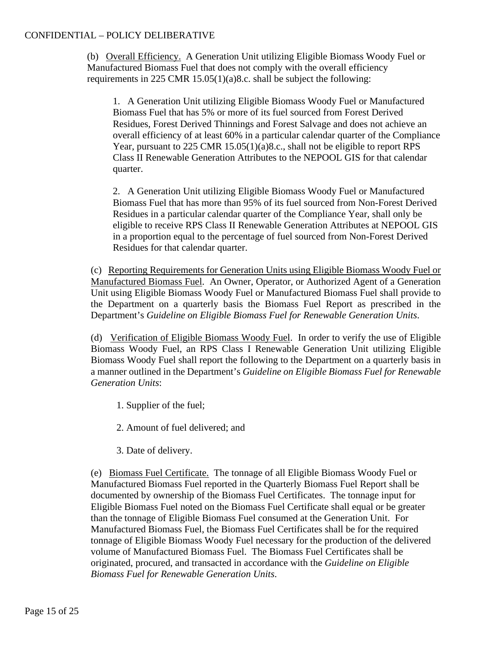(b) Overall Efficiency. A Generation Unit utilizing Eligible Biomass Woody Fuel or Manufactured Biomass Fuel that does not comply with the overall efficiency requirements in 225 CMR 15.05(1)(a)8.c. shall be subject the following:

1. A Generation Unit utilizing Eligible Biomass Woody Fuel or Manufactured Biomass Fuel that has 5% or more of its fuel sourced from Forest Derived Residues, Forest Derived Thinnings and Forest Salvage and does not achieve an overall efficiency of at least 60% in a particular calendar quarter of the Compliance Year, pursuant to 225 CMR 15.05(1)(a)8.c., shall not be eligible to report RPS Class II Renewable Generation Attributes to the NEPOOL GIS for that calendar quarter.

2. A Generation Unit utilizing Eligible Biomass Woody Fuel or Manufactured Biomass Fuel that has more than 95% of its fuel sourced from Non-Forest Derived Residues in a particular calendar quarter of the Compliance Year, shall only be eligible to receive RPS Class II Renewable Generation Attributes at NEPOOL GIS in a proportion equal to the percentage of fuel sourced from Non-Forest Derived Residues for that calendar quarter.

(c) Reporting Requirements for Generation Units using Eligible Biomass Woody Fuel or Manufactured Biomass Fuel. An Owner, Operator, or Authorized Agent of a Generation Unit using Eligible Biomass Woody Fuel or Manufactured Biomass Fuel shall provide to the Department on a quarterly basis the Biomass Fuel Report as prescribed in the Department's *Guideline on Eligible Biomass Fuel for Renewable Generation Units*.

(d) Verification of Eligible Biomass Woody Fuel. In order to verify the use of Eligible Biomass Woody Fuel, an RPS Class I Renewable Generation Unit utilizing Eligible Biomass Woody Fuel shall report the following to the Department on a quarterly basis in a manner outlined in the Department's *Guideline on Eligible Biomass Fuel for Renewable Generation Units*:

1. Supplier of the fuel;

2. Amount of fuel delivered; and

3. Date of delivery.

(e) Biomass Fuel Certificate. The tonnage of all Eligible Biomass Woody Fuel or Manufactured Biomass Fuel reported in the Quarterly Biomass Fuel Report shall be documented by ownership of the Biomass Fuel Certificates. The tonnage input for Eligible Biomass Fuel noted on the Biomass Fuel Certificate shall equal or be greater than the tonnage of Eligible Biomass Fuel consumed at the Generation Unit. For Manufactured Biomass Fuel, the Biomass Fuel Certificates shall be for the required tonnage of Eligible Biomass Woody Fuel necessary for the production of the delivered volume of Manufactured Biomass Fuel. The Biomass Fuel Certificates shall be originated, procured, and transacted in accordance with the *Guideline on Eligible Biomass Fuel for Renewable Generation Units*.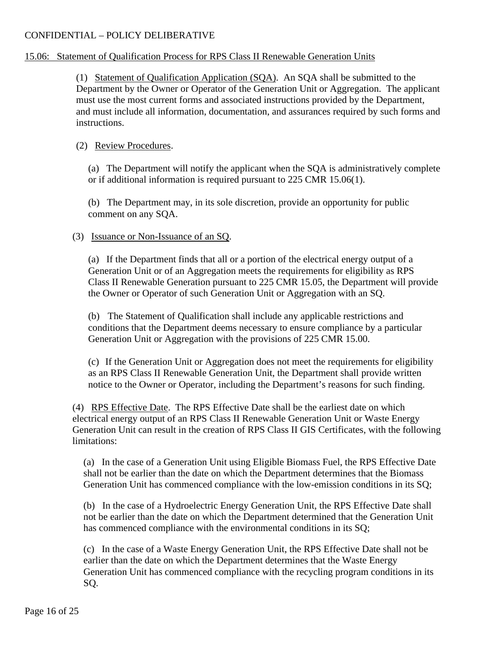# 15.06: Statement of Qualification Process for RPS Class II Renewable Generation Units

(1) Statement of Qualification Application (SQA). An SQA shall be submitted to the Department by the Owner or Operator of the Generation Unit or Aggregation. The applicant must use the most current forms and associated instructions provided by the Department, and must include all information, documentation, and assurances required by such forms and instructions.

# (2) Review Procedures.

(a) The Department will notify the applicant when the SQA is administratively complete or if additional information is required pursuant to 225 CMR 15.06(1).

(b) The Department may, in its sole discretion, provide an opportunity for public comment on any SQA.

# (3) Issuance or Non-Issuance of an SQ.

(a) If the Department finds that all or a portion of the electrical energy output of a Generation Unit or of an Aggregation meets the requirements for eligibility as RPS Class II Renewable Generation pursuant to 225 CMR 15.05, the Department will provide the Owner or Operator of such Generation Unit or Aggregation with an SQ.

(b) The Statement of Qualification shall include any applicable restrictions and conditions that the Department deems necessary to ensure compliance by a particular Generation Unit or Aggregation with the provisions of 225 CMR 15.00.

(c) If the Generation Unit or Aggregation does not meet the requirements for eligibility as an RPS Class II Renewable Generation Unit, the Department shall provide written notice to the Owner or Operator, including the Department's reasons for such finding.

(4) RPS Effective Date. The RPS Effective Date shall be the earliest date on which electrical energy output of an RPS Class II Renewable Generation Unit or Waste Energy Generation Unit can result in the creation of RPS Class II GIS Certificates, with the following limitations:

(a) In the case of a Generation Unit using Eligible Biomass Fuel, the RPS Effective Date shall not be earlier than the date on which the Department determines that the Biomass Generation Unit has commenced compliance with the low-emission conditions in its SQ;

(b) In the case of a Hydroelectric Energy Generation Unit, the RPS Effective Date shall not be earlier than the date on which the Department determined that the Generation Unit has commenced compliance with the environmental conditions in its SQ;

(c) In the case of a Waste Energy Generation Unit, the RPS Effective Date shall not be earlier than the date on which the Department determines that the Waste Energy Generation Unit has commenced compliance with the recycling program conditions in its SQ.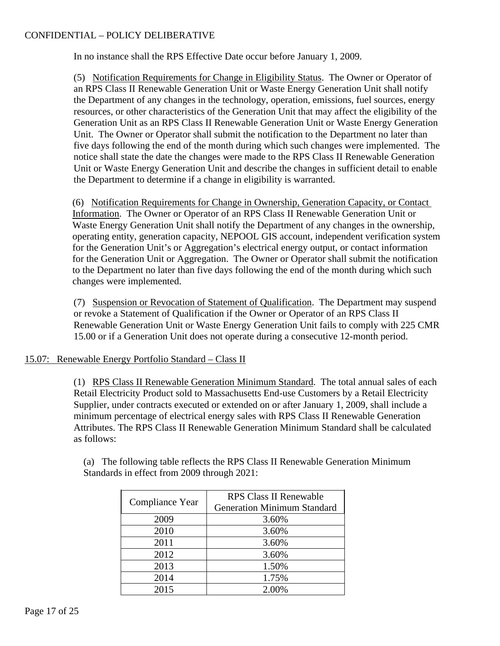In no instance shall the RPS Effective Date occur before January 1, 2009.

(5) Notification Requirements for Change in Eligibility Status. The Owner or Operator of an RPS Class II Renewable Generation Unit or Waste Energy Generation Unit shall notify the Department of any changes in the technology, operation, emissions, fuel sources, energy resources, or other characteristics of the Generation Unit that may affect the eligibility of the Generation Unit as an RPS Class II Renewable Generation Unit or Waste Energy Generation Unit. The Owner or Operator shall submit the notification to the Department no later than five days following the end of the month during which such changes were implemented. The notice shall state the date the changes were made to the RPS Class II Renewable Generation Unit or Waste Energy Generation Unit and describe the changes in sufficient detail to enable the Department to determine if a change in eligibility is warranted.

(6) Notification Requirements for Change in Ownership, Generation Capacity, or Contact Information. The Owner or Operator of an RPS Class II Renewable Generation Unit or Waste Energy Generation Unit shall notify the Department of any changes in the ownership, operating entity, generation capacity, NEPOOL GIS account, independent verification system for the Generation Unit's or Aggregation's electrical energy output, or contact information for the Generation Unit or Aggregation. The Owner or Operator shall submit the notification to the Department no later than five days following the end of the month during which such changes were implemented.

(7) Suspension or Revocation of Statement of Qualification. The Department may suspend or revoke a Statement of Qualification if the Owner or Operator of an RPS Class II Renewable Generation Unit or Waste Energy Generation Unit fails to comply with 225 CMR 15.00 or if a Generation Unit does not operate during a consecutive 12-month period.

### 15.07: Renewable Energy Portfolio Standard – Class II

(1) RPS Class II Renewable Generation Minimum Standard. The total annual sales of each Retail Electricity Product sold to Massachusetts End-use Customers by a Retail Electricity Supplier, under contracts executed or extended on or after January 1, 2009, shall include a minimum percentage of electrical energy sales with RPS Class II Renewable Generation Attributes. The RPS Class II Renewable Generation Minimum Standard shall be calculated as follows:

| (a) The following table reflects the RPS Class II Renewable Generation Minimum |  |
|--------------------------------------------------------------------------------|--|
| Standards in effect from 2009 through 2021:                                    |  |
|                                                                                |  |

| Compliance Year | <b>RPS Class II Renewable</b>      |
|-----------------|------------------------------------|
|                 | <b>Generation Minimum Standard</b> |
| 2009            | 3.60%                              |
| 2010            | 3.60%                              |
| 2011            | 3.60%                              |
| 2012            | 3.60%                              |
| 2013            | 1.50%                              |
| 2014            | 1.75%                              |
| 2015            | 2.00%                              |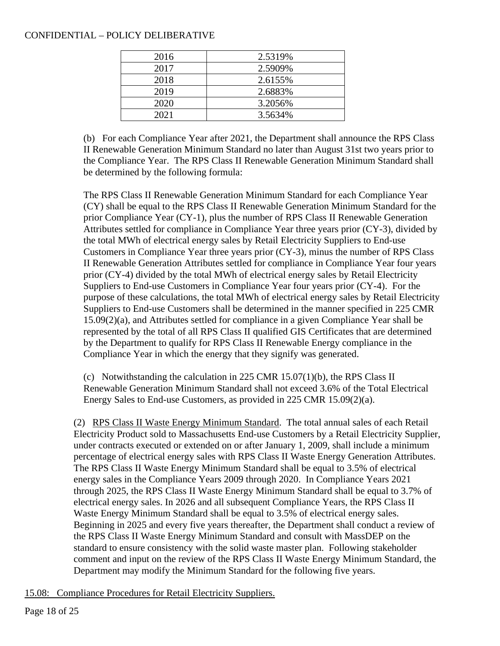| 2016 | 2.5319% |
|------|---------|
| 2017 | 2.5909% |
| 2018 | 2.6155% |
| 2019 | 2.6883% |
| 2020 | 3.2056% |
| 2021 | 3.5634% |

(b) For each Compliance Year after 2021, the Department shall announce the RPS Class II Renewable Generation Minimum Standard no later than August 31st two years prior to the Compliance Year. The RPS Class II Renewable Generation Minimum Standard shall be determined by the following formula:

The RPS Class II Renewable Generation Minimum Standard for each Compliance Year (CY) shall be equal to the RPS Class II Renewable Generation Minimum Standard for the prior Compliance Year (CY-1), plus the number of RPS Class II Renewable Generation Attributes settled for compliance in Compliance Year three years prior (CY-3), divided by the total MWh of electrical energy sales by Retail Electricity Suppliers to End-use Customers in Compliance Year three years prior (CY-3), minus the number of RPS Class II Renewable Generation Attributes settled for compliance in Compliance Year four years prior (CY-4) divided by the total MWh of electrical energy sales by Retail Electricity Suppliers to End-use Customers in Compliance Year four years prior (CY-4). For the purpose of these calculations, the total MWh of electrical energy sales by Retail Electricity Suppliers to End-use Customers shall be determined in the manner specified in 225 CMR 15.09(2)(a), and Attributes settled for compliance in a given Compliance Year shall be represented by the total of all RPS Class II qualified GIS Certificates that are determined by the Department to qualify for RPS Class II Renewable Energy compliance in the Compliance Year in which the energy that they signify was generated.

(c) Notwithstanding the calculation in 225 CMR  $15.07(1)$ (b), the RPS Class II Renewable Generation Minimum Standard shall not exceed 3.6% of the Total Electrical Energy Sales to End-use Customers, as provided in 225 CMR 15.09(2)(a).

(2) RPS Class II Waste Energy Minimum Standard. The total annual sales of each Retail Electricity Product sold to Massachusetts End-use Customers by a Retail Electricity Supplier, under contracts executed or extended on or after January 1, 2009, shall include a minimum percentage of electrical energy sales with RPS Class II Waste Energy Generation Attributes. The RPS Class II Waste Energy Minimum Standard shall be equal to 3.5% of electrical energy sales in the Compliance Years 2009 through 2020. In Compliance Years 2021 through 2025, the RPS Class II Waste Energy Minimum Standard shall be equal to 3.7% of electrical energy sales. In 2026 and all subsequent Compliance Years, the RPS Class II Waste Energy Minimum Standard shall be equal to 3.5% of electrical energy sales. Beginning in 2025 and every five years thereafter, the Department shall conduct a review of the RPS Class II Waste Energy Minimum Standard and consult with MassDEP on the standard to ensure consistency with the solid waste master plan. Following stakeholder comment and input on the review of the RPS Class II Waste Energy Minimum Standard, the Department may modify the Minimum Standard for the following five years.

15.08: Compliance Procedures for Retail Electricity Suppliers.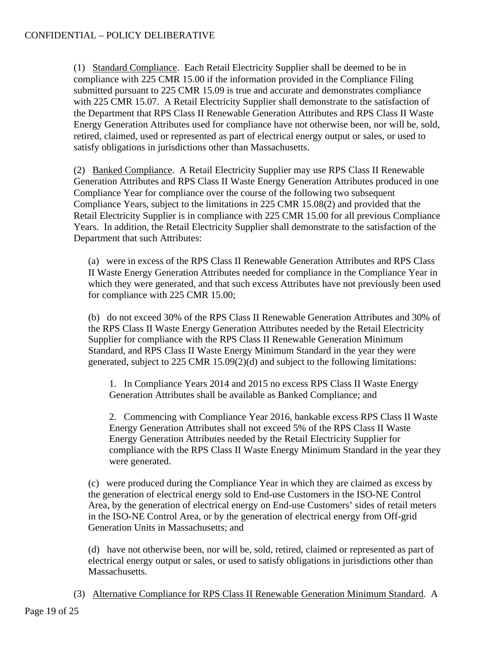(1) Standard Compliance. Each Retail Electricity Supplier shall be deemed to be in compliance with 225 CMR 15.00 if the information provided in the Compliance Filing submitted pursuant to 225 CMR 15.09 is true and accurate and demonstrates compliance with 225 CMR 15.07. A Retail Electricity Supplier shall demonstrate to the satisfaction of the Department that RPS Class II Renewable Generation Attributes and RPS Class II Waste Energy Generation Attributes used for compliance have not otherwise been, nor will be, sold, retired, claimed, used or represented as part of electrical energy output or sales, or used to satisfy obligations in jurisdictions other than Massachusetts.

(2) Banked Compliance. A Retail Electricity Supplier may use RPS Class II Renewable Generation Attributes and RPS Class II Waste Energy Generation Attributes produced in one Compliance Year for compliance over the course of the following two subsequent Compliance Years, subject to the limitations in 225 CMR 15.08(2) and provided that the Retail Electricity Supplier is in compliance with 225 CMR 15.00 for all previous Compliance Years. In addition, the Retail Electricity Supplier shall demonstrate to the satisfaction of the Department that such Attributes:

(a) were in excess of the RPS Class II Renewable Generation Attributes and RPS Class II Waste Energy Generation Attributes needed for compliance in the Compliance Year in which they were generated, and that such excess Attributes have not previously been used for compliance with 225 CMR 15.00;

(b) do not exceed 30% of the RPS Class II Renewable Generation Attributes and 30% of the RPS Class II Waste Energy Generation Attributes needed by the Retail Electricity Supplier for compliance with the RPS Class II Renewable Generation Minimum Standard, and RPS Class II Waste Energy Minimum Standard in the year they were generated, subject to 225 CMR 15.09(2)(d) and subject to the following limitations:

1. In Compliance Years 2014 and 2015 no excess RPS Class II Waste Energy Generation Attributes shall be available as Banked Compliance; and

2. Commencing with Compliance Year 2016, bankable excess RPS Class II Waste Energy Generation Attributes shall not exceed 5% of the RPS Class II Waste Energy Generation Attributes needed by the Retail Electricity Supplier for compliance with the RPS Class II Waste Energy Minimum Standard in the year they were generated.

(c) were produced during the Compliance Year in which they are claimed as excess by the generation of electrical energy sold to End-use Customers in the ISO-NE Control Area, by the generation of electrical energy on End-use Customers' sides of retail meters in the ISO-NE Control Area, or by the generation of electrical energy from Off-grid Generation Units in Massachusetts; and

(d) have not otherwise been, nor will be, sold, retired, claimed or represented as part of electrical energy output or sales, or used to satisfy obligations in jurisdictions other than Massachusetts.

(3) Alternative Compliance for RPS Class II Renewable Generation Minimum Standard. A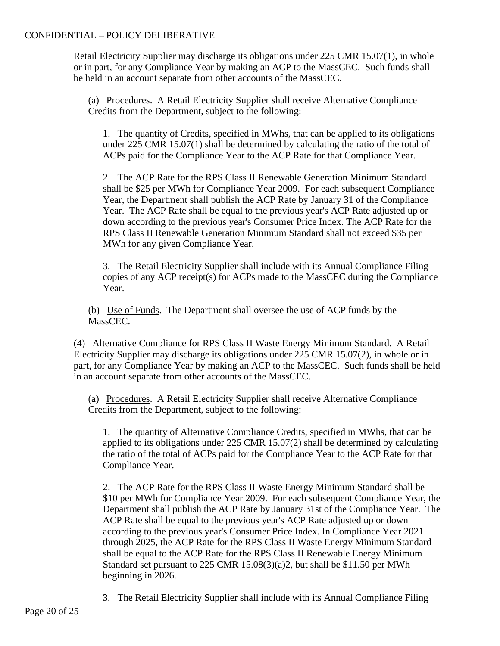Retail Electricity Supplier may discharge its obligations under 225 CMR 15.07(1), in whole or in part, for any Compliance Year by making an ACP to the MassCEC. Such funds shall be held in an account separate from other accounts of the MassCEC.

(a) Procedures. A Retail Electricity Supplier shall receive Alternative Compliance Credits from the Department, subject to the following:

1. The quantity of Credits, specified in MWhs, that can be applied to its obligations under 225 CMR 15.07(1) shall be determined by calculating the ratio of the total of ACPs paid for the Compliance Year to the ACP Rate for that Compliance Year.

2. The ACP Rate for the RPS Class II Renewable Generation Minimum Standard shall be \$25 per MWh for Compliance Year 2009. For each subsequent Compliance Year, the Department shall publish the ACP Rate by January 31 of the Compliance Year. The ACP Rate shall be equal to the previous year's ACP Rate adjusted up or down according to the previous year's Consumer Price Index. The ACP Rate for the RPS Class II Renewable Generation Minimum Standard shall not exceed \$35 per MWh for any given Compliance Year.

3. The Retail Electricity Supplier shall include with its Annual Compliance Filing copies of any ACP receipt(s) for ACPs made to the MassCEC during the Compliance Year.

(b) Use of Funds. The Department shall oversee the use of ACP funds by the MassCEC.

(4) Alternative Compliance for RPS Class II Waste Energy Minimum Standard. A Retail Electricity Supplier may discharge its obligations under 225 CMR 15.07(2), in whole or in part, for any Compliance Year by making an ACP to the MassCEC. Such funds shall be held in an account separate from other accounts of the MassCEC.

(a) Procedures. A Retail Electricity Supplier shall receive Alternative Compliance Credits from the Department, subject to the following:

1. The quantity of Alternative Compliance Credits, specified in MWhs, that can be applied to its obligations under 225 CMR 15.07(2) shall be determined by calculating the ratio of the total of ACPs paid for the Compliance Year to the ACP Rate for that Compliance Year.

2. The ACP Rate for the RPS Class II Waste Energy Minimum Standard shall be \$10 per MWh for Compliance Year 2009. For each subsequent Compliance Year, the Department shall publish the ACP Rate by January 31st of the Compliance Year. The ACP Rate shall be equal to the previous year's ACP Rate adjusted up or down according to the previous year's Consumer Price Index. In Compliance Year 2021 through 2025, the ACP Rate for the RPS Class II Waste Energy Minimum Standard shall be equal to the ACP Rate for the RPS Class II Renewable Energy Minimum Standard set pursuant to 225 CMR 15.08(3)(a)2, but shall be \$11.50 per MWh beginning in 2026.

3. The Retail Electricity Supplier shall include with its Annual Compliance Filing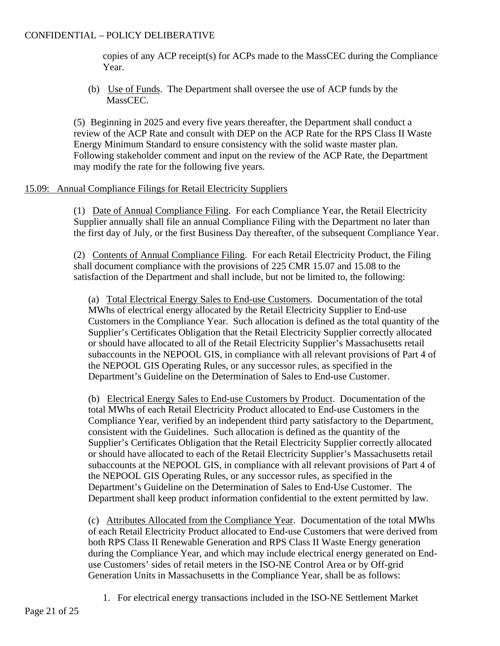copies of any ACP receipt(s) for ACPs made to the MassCEC during the Compliance Year.

(b) Use of Funds. The Department shall oversee the use of ACP funds by the MassCEC.

(5) Beginning in 2025 and every five years thereafter, the Department shall conduct a review of the ACP Rate and consult with DEP on the ACP Rate for the RPS Class II Waste Energy Minimum Standard to ensure consistency with the solid waste master plan. Following stakeholder comment and input on the review of the ACP Rate, the Department may modify the rate for the following five years.

### 15.09: Annual Compliance Filings for Retail Electricity Suppliers

(1) Date of Annual Compliance Filing. For each Compliance Year, the Retail Electricity Supplier annually shall file an annual Compliance Filing with the Department no later than the first day of July, or the first Business Day thereafter, of the subsequent Compliance Year.

(2) Contents of Annual Compliance Filing. For each Retail Electricity Product, the Filing shall document compliance with the provisions of 225 CMR 15.07 and 15.08 to the satisfaction of the Department and shall include, but not be limited to, the following:

(a) Total Electrical Energy Sales to End-use Customers. Documentation of the total MWhs of electrical energy allocated by the Retail Electricity Supplier to End-use Customers in the Compliance Year. Such allocation is defined as the total quantity of the Supplier's Certificates Obligation that the Retail Electricity Supplier correctly allocated or should have allocated to all of the Retail Electricity Supplier's Massachusetts retail subaccounts in the NEPOOL GIS, in compliance with all relevant provisions of Part 4 of the NEPOOL GIS Operating Rules, or any successor rules, as specified in the Department's Guideline on the Determination of Sales to End-use Customer.

(b) Electrical Energy Sales to End-use Customers by Product. Documentation of the total MWhs of each Retail Electricity Product allocated to End-use Customers in the Compliance Year, verified by an independent third party satisfactory to the Department, consistent with the Guidelines. Such allocation is defined as the quantity of the Supplier's Certificates Obligation that the Retail Electricity Supplier correctly allocated or should have allocated to each of the Retail Electricity Supplier's Massachusetts retail subaccounts at the NEPOOL GIS, in compliance with all relevant provisions of Part 4 of the NEPOOL GIS Operating Rules, or any successor rules, as specified in the Department's Guideline on the Determination of Sales to End-Use Customer. The Department shall keep product information confidential to the extent permitted by law.

(c) Attributes Allocated from the Compliance Year. Documentation of the total MWhs of each Retail Electricity Product allocated to End-use Customers that were derived from both RPS Class II Renewable Generation and RPS Class II Waste Energy generation during the Compliance Year, and which may include electrical energy generated on Enduse Customers' sides of retail meters in the ISO-NE Control Area or by Off-grid Generation Units in Massachusetts in the Compliance Year, shall be as follows:

1. For electrical energy transactions included in the ISO-NE Settlement Market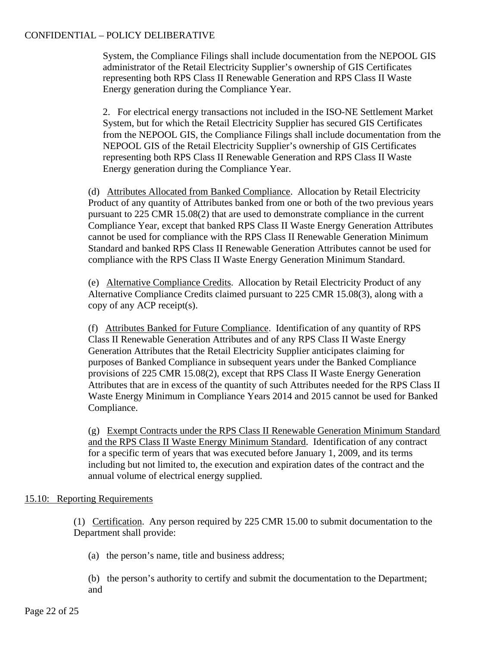System, the Compliance Filings shall include documentation from the NEPOOL GIS administrator of the Retail Electricity Supplier's ownership of GIS Certificates representing both RPS Class II Renewable Generation and RPS Class II Waste Energy generation during the Compliance Year.

2. For electrical energy transactions not included in the ISO-NE Settlement Market System, but for which the Retail Electricity Supplier has secured GIS Certificates from the NEPOOL GIS, the Compliance Filings shall include documentation from the NEPOOL GIS of the Retail Electricity Supplier's ownership of GIS Certificates representing both RPS Class II Renewable Generation and RPS Class II Waste Energy generation during the Compliance Year.

(d) Attributes Allocated from Banked Compliance. Allocation by Retail Electricity Product of any quantity of Attributes banked from one or both of the two previous years pursuant to 225 CMR 15.08(2) that are used to demonstrate compliance in the current Compliance Year, except that banked RPS Class II Waste Energy Generation Attributes cannot be used for compliance with the RPS Class II Renewable Generation Minimum Standard and banked RPS Class II Renewable Generation Attributes cannot be used for compliance with the RPS Class II Waste Energy Generation Minimum Standard.

(e) Alternative Compliance Credits. Allocation by Retail Electricity Product of any Alternative Compliance Credits claimed pursuant to 225 CMR 15.08(3), along with a copy of any ACP receipt(s).

(f) Attributes Banked for Future Compliance. Identification of any quantity of RPS Class II Renewable Generation Attributes and of any RPS Class II Waste Energy Generation Attributes that the Retail Electricity Supplier anticipates claiming for purposes of Banked Compliance in subsequent years under the Banked Compliance provisions of 225 CMR 15.08(2), except that RPS Class II Waste Energy Generation Attributes that are in excess of the quantity of such Attributes needed for the RPS Class II Waste Energy Minimum in Compliance Years 2014 and 2015 cannot be used for Banked Compliance.

(g) Exempt Contracts under the RPS Class II Renewable Generation Minimum Standard and the RPS Class II Waste Energy Minimum Standard. Identification of any contract for a specific term of years that was executed before January 1, 2009, and its terms including but not limited to, the execution and expiration dates of the contract and the annual volume of electrical energy supplied.

### 15.10: Reporting Requirements

(1) Certification. Any person required by 225 CMR 15.00 to submit documentation to the Department shall provide:

- (a) the person's name, title and business address;
- (b) the person's authority to certify and submit the documentation to the Department; and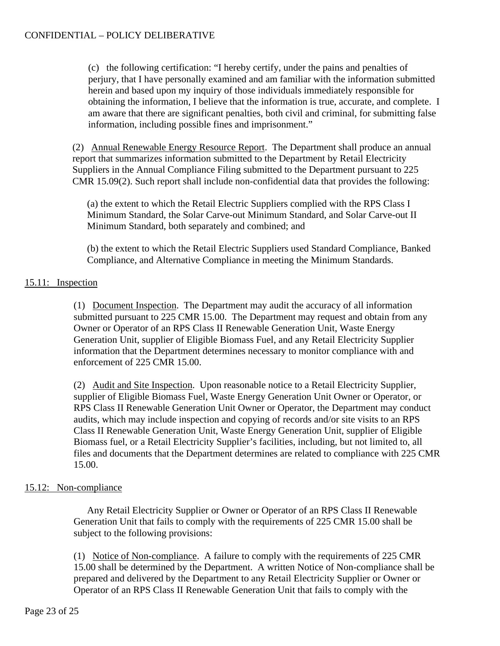(c) the following certification: "I hereby certify, under the pains and penalties of perjury, that I have personally examined and am familiar with the information submitted herein and based upon my inquiry of those individuals immediately responsible for obtaining the information, I believe that the information is true, accurate, and complete. I am aware that there are significant penalties, both civil and criminal, for submitting false information, including possible fines and imprisonment."

(2) Annual Renewable Energy Resource Report. The Department shall produce an annual report that summarizes information submitted to the Department by Retail Electricity Suppliers in the Annual Compliance Filing submitted to the Department pursuant to 225 CMR 15.09(2). Such report shall include non-confidential data that provides the following:

(a) the extent to which the Retail Electric Suppliers complied with the RPS Class I Minimum Standard, the Solar Carve-out Minimum Standard, and Solar Carve-out II Minimum Standard, both separately and combined; and

(b) the extent to which the Retail Electric Suppliers used Standard Compliance, Banked Compliance, and Alternative Compliance in meeting the Minimum Standards.

# 15.11: Inspection

(1) Document Inspection. The Department may audit the accuracy of all information submitted pursuant to 225 CMR 15.00. The Department may request and obtain from any Owner or Operator of an RPS Class II Renewable Generation Unit, Waste Energy Generation Unit, supplier of Eligible Biomass Fuel, and any Retail Electricity Supplier information that the Department determines necessary to monitor compliance with and enforcement of 225 CMR 15.00.

(2) Audit and Site Inspection. Upon reasonable notice to a Retail Electricity Supplier, supplier of Eligible Biomass Fuel, Waste Energy Generation Unit Owner or Operator, or RPS Class II Renewable Generation Unit Owner or Operator, the Department may conduct audits, which may include inspection and copying of records and/or site visits to an RPS Class II Renewable Generation Unit, Waste Energy Generation Unit, supplier of Eligible Biomass fuel, or a Retail Electricity Supplier's facilities, including, but not limited to, all files and documents that the Department determines are related to compliance with 225 CMR 15.00.

# 15.12: Non-compliance

Any Retail Electricity Supplier or Owner or Operator of an RPS Class II Renewable Generation Unit that fails to comply with the requirements of 225 CMR 15.00 shall be subject to the following provisions:

(1) Notice of Non-compliance. A failure to comply with the requirements of 225 CMR 15.00 shall be determined by the Department. A written Notice of Non-compliance shall be prepared and delivered by the Department to any Retail Electricity Supplier or Owner or Operator of an RPS Class II Renewable Generation Unit that fails to comply with the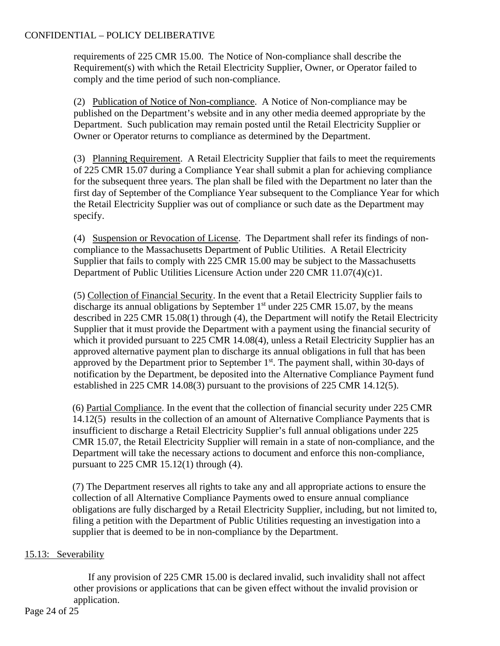requirements of 225 CMR 15.00. The Notice of Non-compliance shall describe the Requirement(s) with which the Retail Electricity Supplier, Owner, or Operator failed to comply and the time period of such non-compliance.

(2) Publication of Notice of Non-compliance. A Notice of Non-compliance may be published on the Department's website and in any other media deemed appropriate by the Department. Such publication may remain posted until the Retail Electricity Supplier or Owner or Operator returns to compliance as determined by the Department.

(3) Planning Requirement. A Retail Electricity Supplier that fails to meet the requirements of 225 CMR 15.07 during a Compliance Year shall submit a plan for achieving compliance for the subsequent three years. The plan shall be filed with the Department no later than the first day of September of the Compliance Year subsequent to the Compliance Year for which the Retail Electricity Supplier was out of compliance or such date as the Department may specify.

(4) Suspension or Revocation of License. The Department shall refer its findings of noncompliance to the Massachusetts Department of Public Utilities. A Retail Electricity Supplier that fails to comply with 225 CMR 15.00 may be subject to the Massachusetts Department of Public Utilities Licensure Action under 220 CMR 11.07(4)(c)1.

(5) Collection of Financial Security. In the event that a Retail Electricity Supplier fails to discharge its annual obligations by September  $1<sup>st</sup>$  under 225 CMR 15.07, by the means described in 225 CMR 15.08(1) through (4), the Department will notify the Retail Electricity Supplier that it must provide the Department with a payment using the financial security of which it provided pursuant to 225 CMR 14.08(4), unless a Retail Electricity Supplier has an approved alternative payment plan to discharge its annual obligations in full that has been approved by the Department prior to September  $1<sup>st</sup>$ . The payment shall, within 30-days of notification by the Department, be deposited into the Alternative Compliance Payment fund established in 225 CMR 14.08(3) pursuant to the provisions of 225 CMR 14.12(5).

(6) Partial Compliance. In the event that the collection of financial security under 225 CMR 14.12(5) results in the collection of an amount of Alternative Compliance Payments that is insufficient to discharge a Retail Electricity Supplier's full annual obligations under 225 CMR 15.07, the Retail Electricity Supplier will remain in a state of non-compliance, and the Department will take the necessary actions to document and enforce this non-compliance, pursuant to 225 CMR 15.12(1) through (4).

(7) The Department reserves all rights to take any and all appropriate actions to ensure the collection of all Alternative Compliance Payments owed to ensure annual compliance obligations are fully discharged by a Retail Electricity Supplier, including, but not limited to, filing a petition with the Department of Public Utilities requesting an investigation into a supplier that is deemed to be in non-compliance by the Department.

# 15.13: Severability

If any provision of 225 CMR 15.00 is declared invalid, such invalidity shall not affect other provisions or applications that can be given effect without the invalid provision or application.